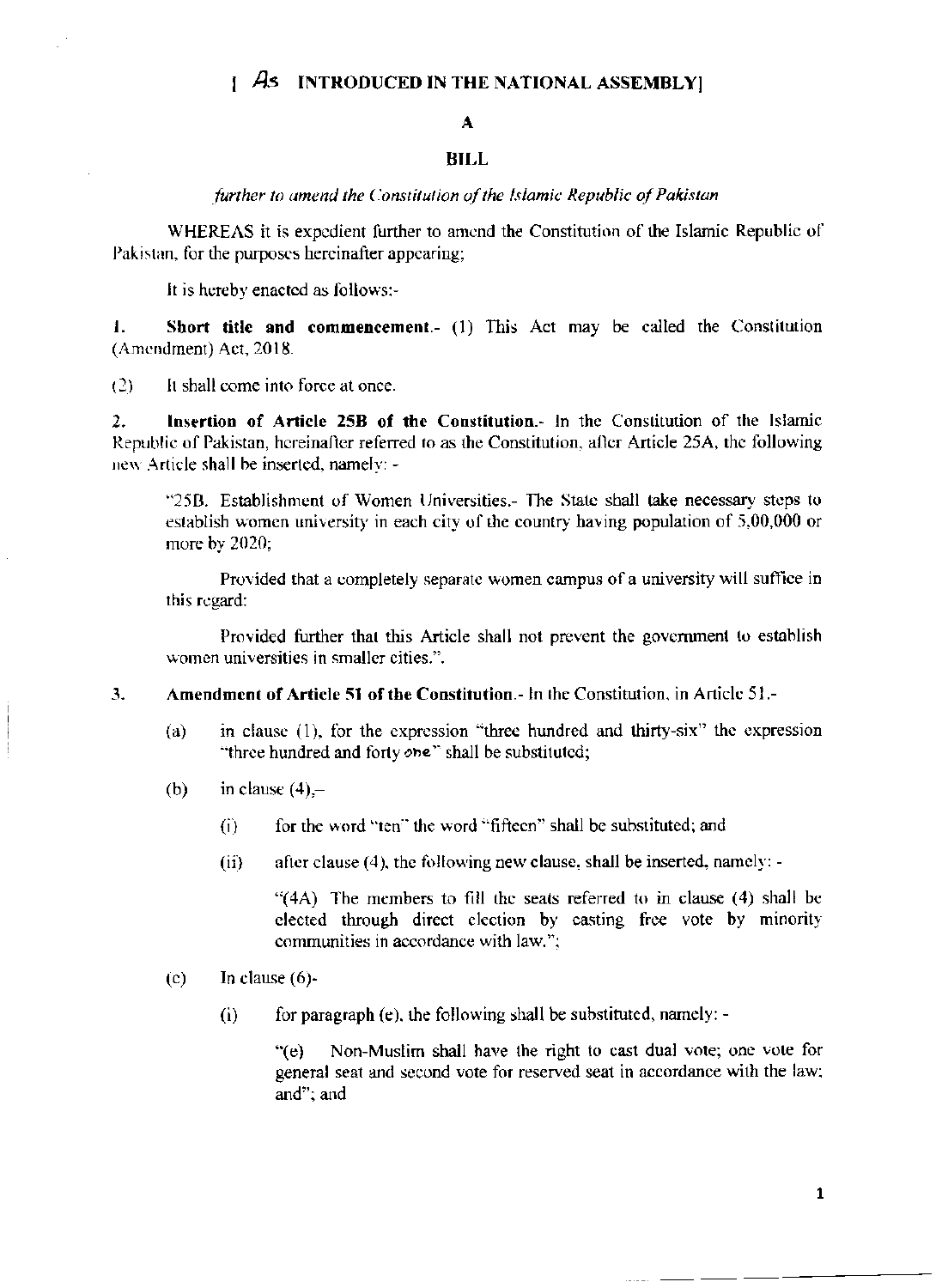# $\int$  As INTRODUCED IN THE NATIONAL ASSEMBLY

# $\mathbf{A}$

## **BILL**

further to amend the Constitution of the Islamic Republic of Pakistan

WHEREAS it is expedient further to amend the Constitution of the Islamic Republic of Pakistan, for the purposes hereinafter appearing;

It is hereby enacted as follows:-

 $\mathbf{I}$ . Short title and commencement.- (1) This Act may be called the Constitution (Amendment) Act, 2018.

It shall come into force at once.  $(2)$ 

Insertion of Article 25B of the Constitution.- In the Constitution of the Islamic  $2.$ Republic of Pakistan, hereinafter referred to as the Constitution, after Article 25A, the following new Article shall be inserted, namely: -

"25B. Establishment of Women Universities.- The State shall take necessary steps to establish women university in each city of the country having population of 5,00,000 or more by 2020;

Provided that a completely separate women campus of a university will suffice in this regard:

Provided further that this Article shall not prevent the government to establish women universities in smaller cities.".

- Amendment of Article 51 of the Constitution.- In the Constitution, in Article 51.- $3.$ 
	- in clause (1), for the expression "three hundred and thirty-six" the expression  $(a)$ "three hundred and forty one" shall be substituted;
	- in clause  $(4)$ ,- $(b)$ 
		- $(i)$ for the word "ten" the word "fifteen" shall be substituted; and
		- after clause (4), the following new clause, shall be inserted, namely: - $(ii)$

"(4A) The members to fill the seats referred to in clause (4) shall be elected through direct election by casting free vote by minority communities in accordance with law.":

- In clause  $(6)$ - $(c)$ 
	- for paragraph (e), the following shall be substituted, namely: - $(i)$

Non-Muslim shall have the right to cast dual vote; one vote for  $\degree$ (e) general seat and second vote for reserved seat in accordance with the law; and"; and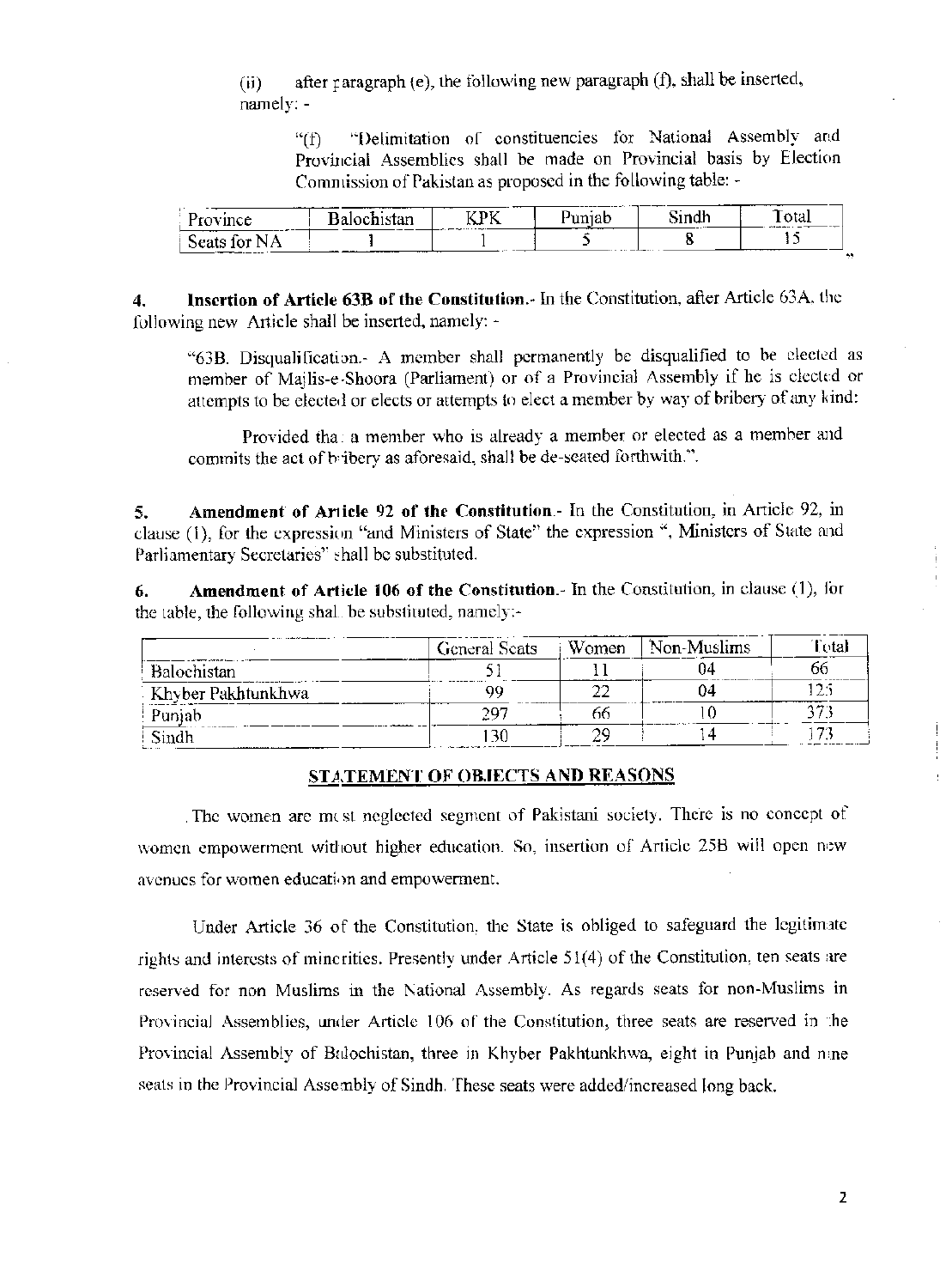after paragraph (e), the following new paragraph (f), shall be inserted,  $(ii)$ namely: -

"Delimitation of constituencies for National Assembly and  $``<sup>f</sup>)$ Provincial Assemblics shall be made on Provincial basis by Election Commission of Pakistan as proposed in the following table: -

| в<br>----                    | ------------<br>------<br>$\mathbf{r}$ | <b>*****</b><br>. .<br>$-1$<br>____________ | _______<br>דרידו<br>. .<br>—————— | ---<br><br>-- | ___<br>A 113<br>vial<br>___<br>and and advance of the con- |
|------------------------------|----------------------------------------|---------------------------------------------|-----------------------------------|---------------|------------------------------------------------------------|
| __<br><br>__________________ |                                        |                                             |                                   |               |                                                            |

Insertion of Article 63B of the Constitution.- In the Constitution, after Article 63A, the  $\overline{4}$ . following new Article shall be inserted, namely: -

"63B. Disqualification.- A member shall permanently be disqualified to be elected as member of Mailis-e-Shoora (Parliament) or of a Provincial Assembly if he is elected or attempts to be elected or elects or attempts to elect a member by way of bribery of any kind:

Provided tha: a member who is already a member or elected as a member and commits the act of bribery as aforesaid, shall be de-seated forthwith.".

Amendment of Article 92 of the Constitution. In the Constitution, in Article 92, in 5. clause (1), for the expression "and Ministers of State" the expression ", Ministers of State and Parliamentary Secretaries" shall be substituted.

Amendment of Article 106 of the Constitution.- In the Constitution, in clause (1), for 6. the table, the following shall be substituted, namely:-

|                    | <b>General Scats</b> | Women | Non-Muslims |        |
|--------------------|----------------------|-------|-------------|--------|
| Balochistan        |                      |       |             | ot     |
| Khyber Pakhtunkhwa | oο                   |       | Jå          | 125    |
| Punjab             | 297                  |       |             | ∼.     |
| Sindh              |                      |       |             | $\sim$ |

#### **STATEMENT OF OBJECTS AND REASONS**

The women are mest neglected segment of Pakistani society. There is no concept of women empowerment without higher education. So, insertion of Article 25B will open new avenues for women education and empowerment.

Under Article 36 of the Constitution, the State is obliged to safeguard the legitimate rights and interests of minerities. Presently under Article 51(4) of the Constitution, ten seats are reserved for non Muslims in the National Assembly. As regards seats for non-Muslims in Provincial Assemblies, under Article 106 of the Constitution, three seats are reserved in the Provincial Assembly of Balochistan, three in Khyber Pakhtunkhwa, eight in Punjab and nine seats in the Provincial Assembly of Sindh. These seats were added/increased long back.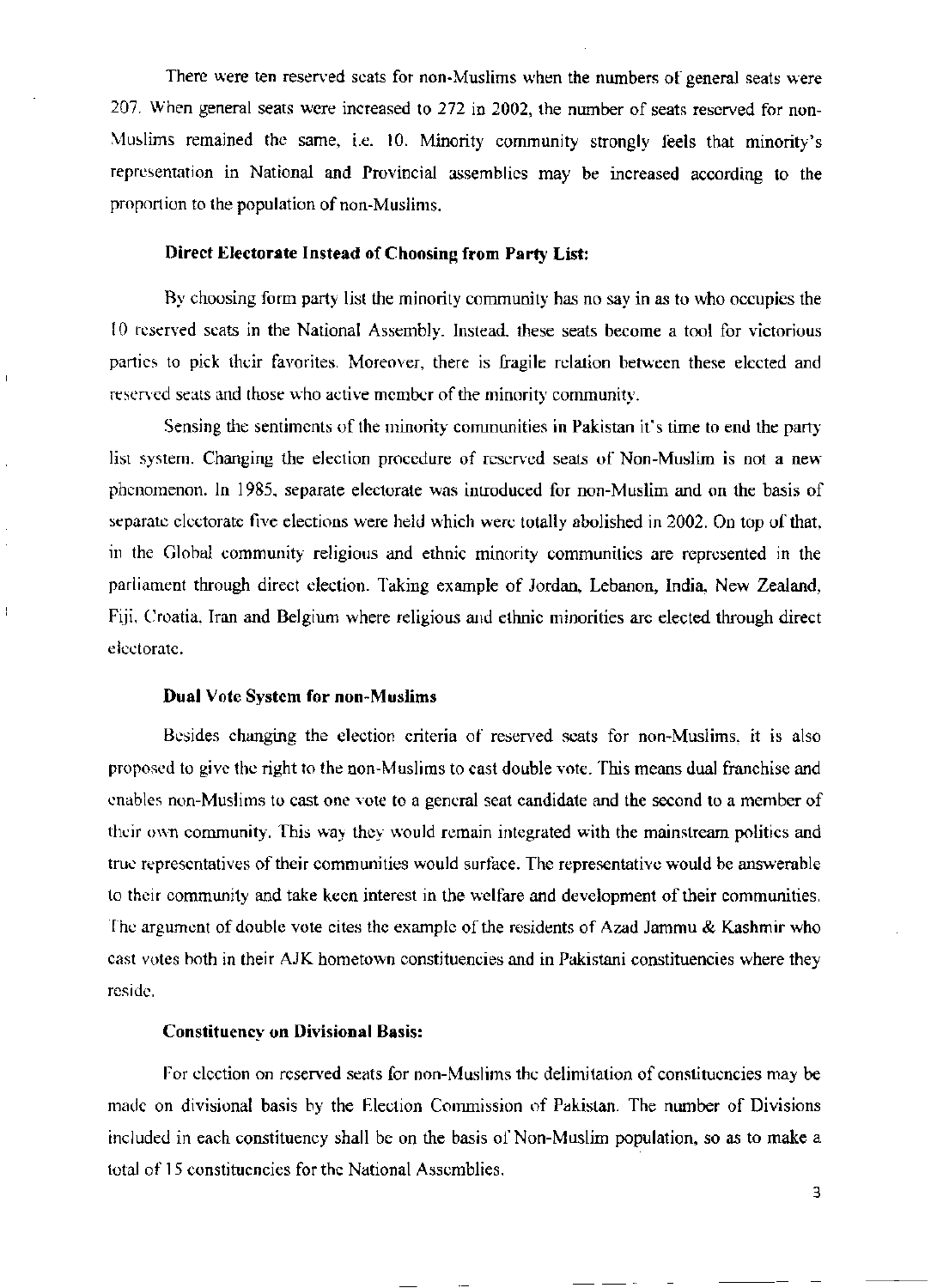There were ten reserved scats for non-Muslims when the numbers of general seats were 207. When general seats were increased to 272 in 2002, the number of seats reserved for non-Muslims remained the same, i.e. 10. Minority community strongly feels that minority's representation in National and Provincial assemblies may be increased according to the proportion to the population of non-Muslims.

#### Direct Electorate Instead of Choosing from Party List:

By choosing form party list the minority community has no say in as to who occupies the 10 reserved seats in the National Assembly. Instead, these seats become a tool for victorious parties to pick their favorites. Moreover, there is fragile relation between these elected and reserved seats and those who active member of the minority community.

Sensing the sentiments of the minority communities in Pakistan it's time to end the party list system. Changing the election procedure of reserved seats of Non-Muslim is not a new phenomenon. In 1985, separate electorate was introduced for non-Muslim and on the basis of separate electorate five elections were held which were totally abolished in 2002. On top of that, in the Global community religious and ethnic minority communities are represented in the parliament through direct election. Taking example of Jordan, Lebanon, India, New Zealand, Fiji, Croatia, Iran and Belgium where religious and ethnic minorities are elected through direct electorate.

#### **Dual Vote System for non-Muslims**

 $\overline{1}$ 

Besides changing the election criteria of reserved seats for non-Muslims, it is also proposed to give the right to the non-Muslims to cast double vote. This means dual franchise and enables non-Muslims to cast one vote to a general seat candidate and the second to a member of their own community. This way they would remain integrated with the mainstream politics and true representatives of their communities would surface. The representative would be answerable to their community and take keen interest in the welfare and development of their communities. The argument of double vote cites the example of the residents of Azad Jammu & Kashmir who cast votes both in their AJK hometown constituencies and in Pakistani constituencies where they reside.

## **Constituency on Divisional Basis:**

For election on reserved seats for non-Muslims the delimitation of constituencies may be made on divisional basis by the Election Commission of Pakistan. The number of Divisions included in each constituency shall be on the basis of Non-Muslim population, so as to make a total of 15 constituencies for the National Assemblies.

 $\overline{\mathbf{3}}$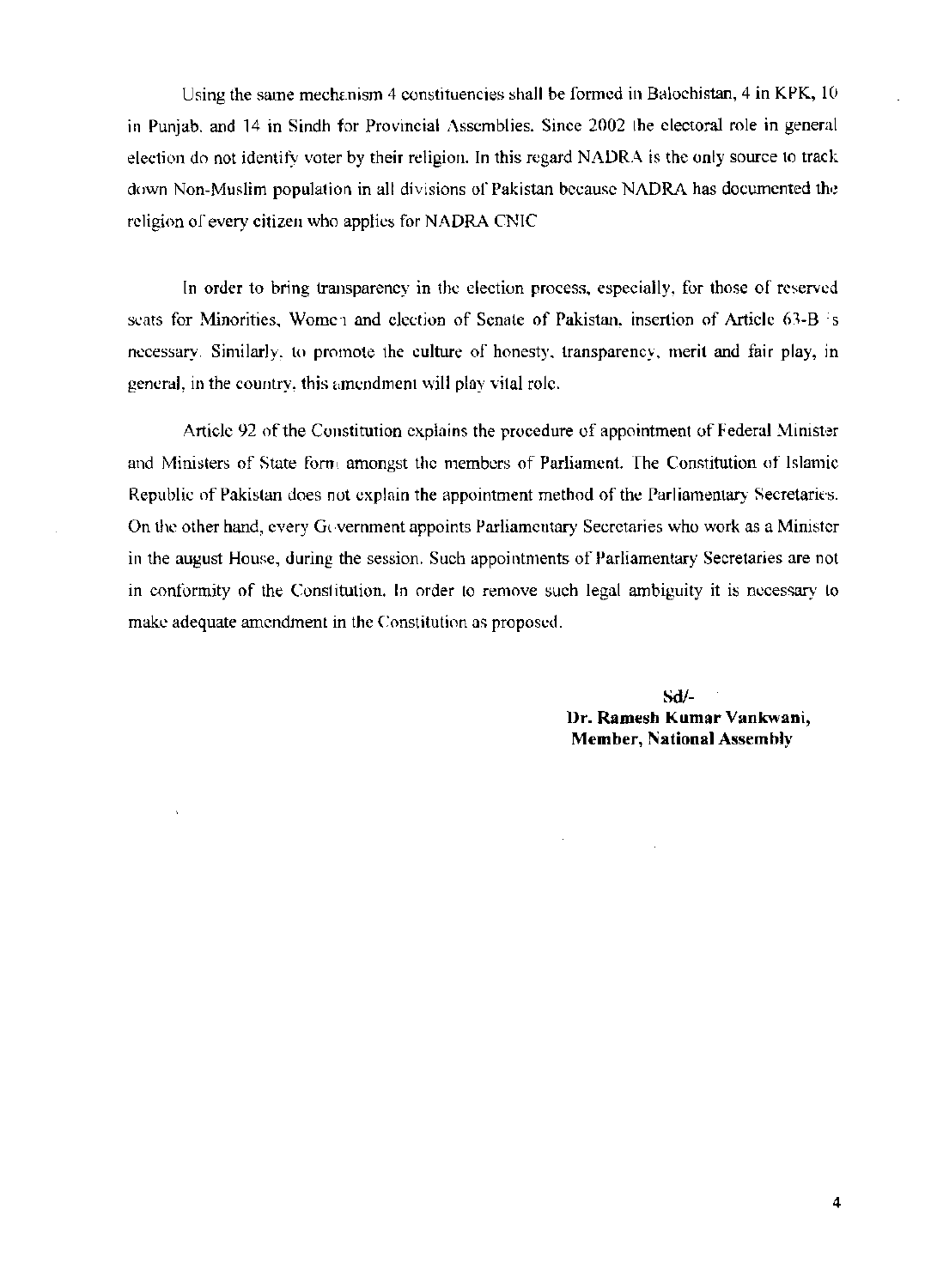Using the same mechanism 4 constituencies shall be formed in Balochistan, 4 in KPK, 10 in Punjab, and 14 in Sindh for Provincial Assemblies. Since 2002 the electoral role in general election do not identify voter by their religion. In this regard NADRA is the only source to track down Non-Muslim population in all divisions of Pakistan because NADRA has documented the religion of every citizen who applies for NADRA CNIC

In order to bring transparency in the election process, especially, for those of reserved seats for Minorities, Women and election of Senate of Pakistan, insertion of Article 63-B is necessary. Similarly, to promote the culture of honesty, transparency, merit and fair play, in general, in the country, this amendment will play vital role.

Article 92 of the Constitution explains the procedure of appointment of Federal Minister and Ministers of State form amongst the members of Parliament. The Constitution of Islamic Republic of Pakistan does not explain the appointment method of the Parliamentary Secretaries. On the other hand, every Government appoints Parliamentary Secretaries who work as a Minister in the august House, during the session. Such appointments of Parliamentary Secretaries are not in conformity of the Constitution. In order to remove such legal ambiguity it is necessary to make adequate amendment in the Constitution as proposed.

> $Sd/$ Dr. Ramesh Kumar Vankwani, **Member, National Assembly**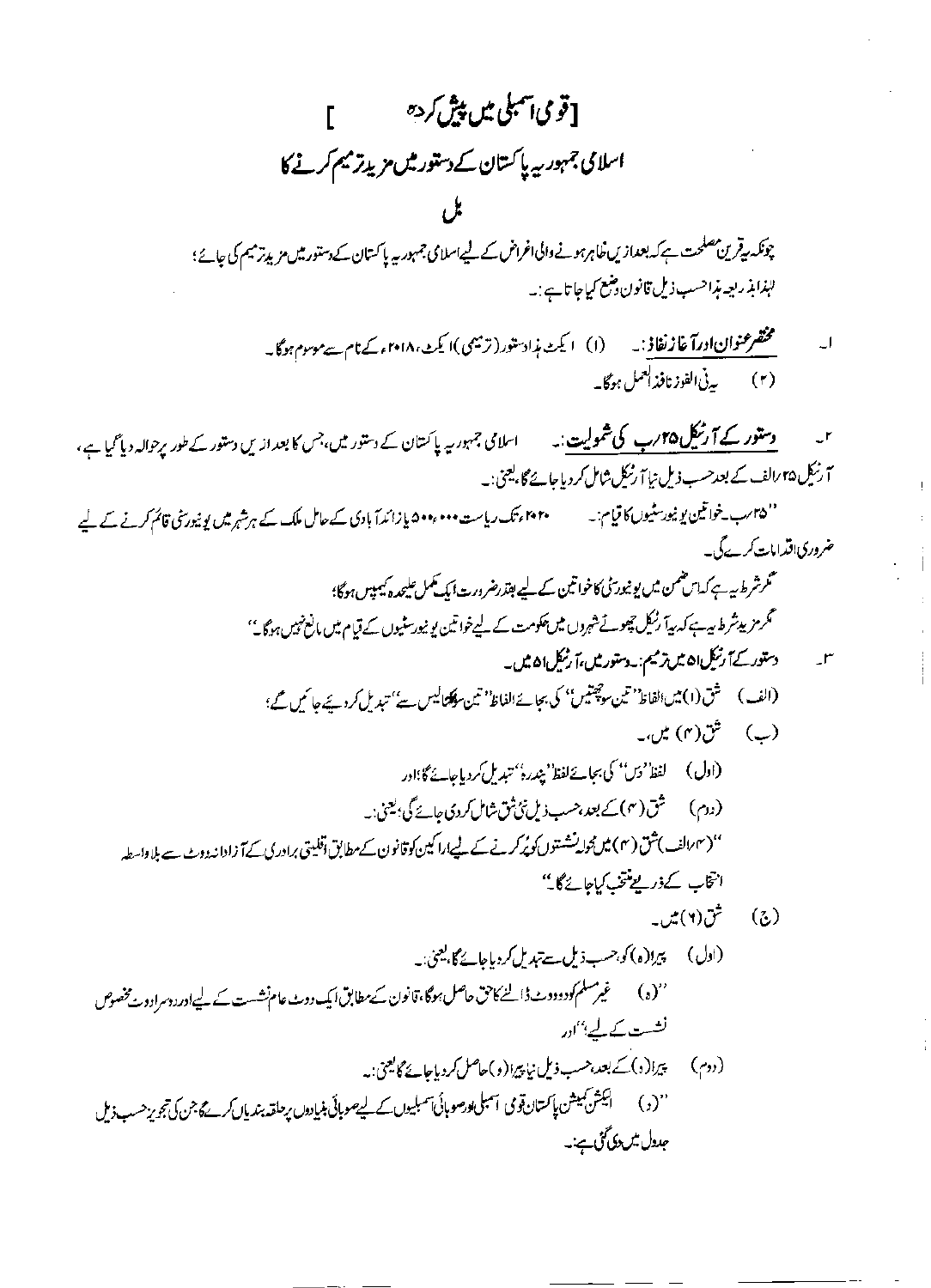[قومی|تهبلی میں پیش کردہ مصرح م اسلامی جمہور ریہ پاکستان کے دستور میں مزید ترمیم کرنے کا

چونکہ یہ قرین مصلحت ہے کہ بعدازیں خاہرہونے والی اغراض کے لیے اسلامی جمہوریہ پاکستان کے دستور میں مزید ترمیم کی جائے؛ للبذابذ ربعه بذاحسب ذمل قانون وضع كماحا تا ہے : په

**وستور کے آ رنیکل ۲۵؍ب کی شمولیت**:۔ اسلامی جمہوریہ پاکستان کے دستور میں،جس کا بعداز یں دستور کے طور پرحوالہ دیا گیا ہے، آ رنیک ۴۵ رالف کے بعد حسب ذیل نیا آ رنیک شامل کر دیاجائے گا، یعنی:۔

'' ۲۵ رب خواتین یو نیورسٹیوں کا قیام:۔ '' ۲۰ اینک ریاست ۵۰۰٬۰۰۰ یا زائداً بادی کے حامل ملک کے ہرشہر میں یو نیورنٹی قائم کرنے کے لیے ضروری اقدامات کرے گی۔

- محمرشرط بیہ ہے کہ اس ضمن میں یونیور ٹی) خواتین کے لیے بقدرضرورت ایک کھمل علیحد ہ کیمپس ہوگا؛ ٹکرمز پیٹر ط بیہ ہے کہ بیا ؓ رنیکل تچوٹ شہروں میں پھومت کے لیےخواتین یونیورسٹیوں کے قیام میں مانع نہیں ہوگا۔''
	- س میں دستور کے آرٹیک ان میں ترمیم: دستور میں، آرٹیک ان میں۔ (الف) \_ شق (١) مين الفاظ' تين سوچيتيں'' كى بجائے الفاظ' تين سوكلتاليس سے' تبديل كرديجے جا سميں محمر؛
		- (ب) شق(۴) میں۔
- (اول) لفظ' دس'' کی بجائے لفظ' بیندرہ'' تبدیل کردیاجائے گا؛اور (دوم) شق (۴) کے بعد،حسب ذیل نئ ثق شامل کردی جائے گی؛ یعنی:۔ '' ( ۳ رالف )شق ( ۴ ) میں محولہ نشستوں کو پُرکرنے کے لیےارا کیں کو قانون کے مطابق اقلیتی برادری کے آ زادانہ دوٹ ہے بلا واسطہ انتخاب كےذریع منتخب کیاجائے گا۔''
	- ش (۲) میں۔ - (ふ)
- (ادل) پیرا(ہ) کو جسب ذیل ہے تبدیل کردیاجائے گا، یعنی:۔ ''(د) گھیر مسلم کودودوٹ ڈالنے کاحق حاصل ہوگا،قانون سے مطابق ایک دوٹ عام نشست کے لیے اور دوسرادو ہے خصوص نشست کے لیے "ادر (دوم) = پیرا(د) کے بعد،حسب ذیل نیاپیرا(و)حاصل کردیاجائے گالیعیٰ:۔ ''(د) ۔ ایکش کیمیشن پاکستان قومی اسمبلی کورصو ہائی آسمبلیوں کے لیے صوبائی بنیادوں پر حلقہ بندیاں کرے جن بحریز حسب ذیل جىدىل تىرىدى گۇپ،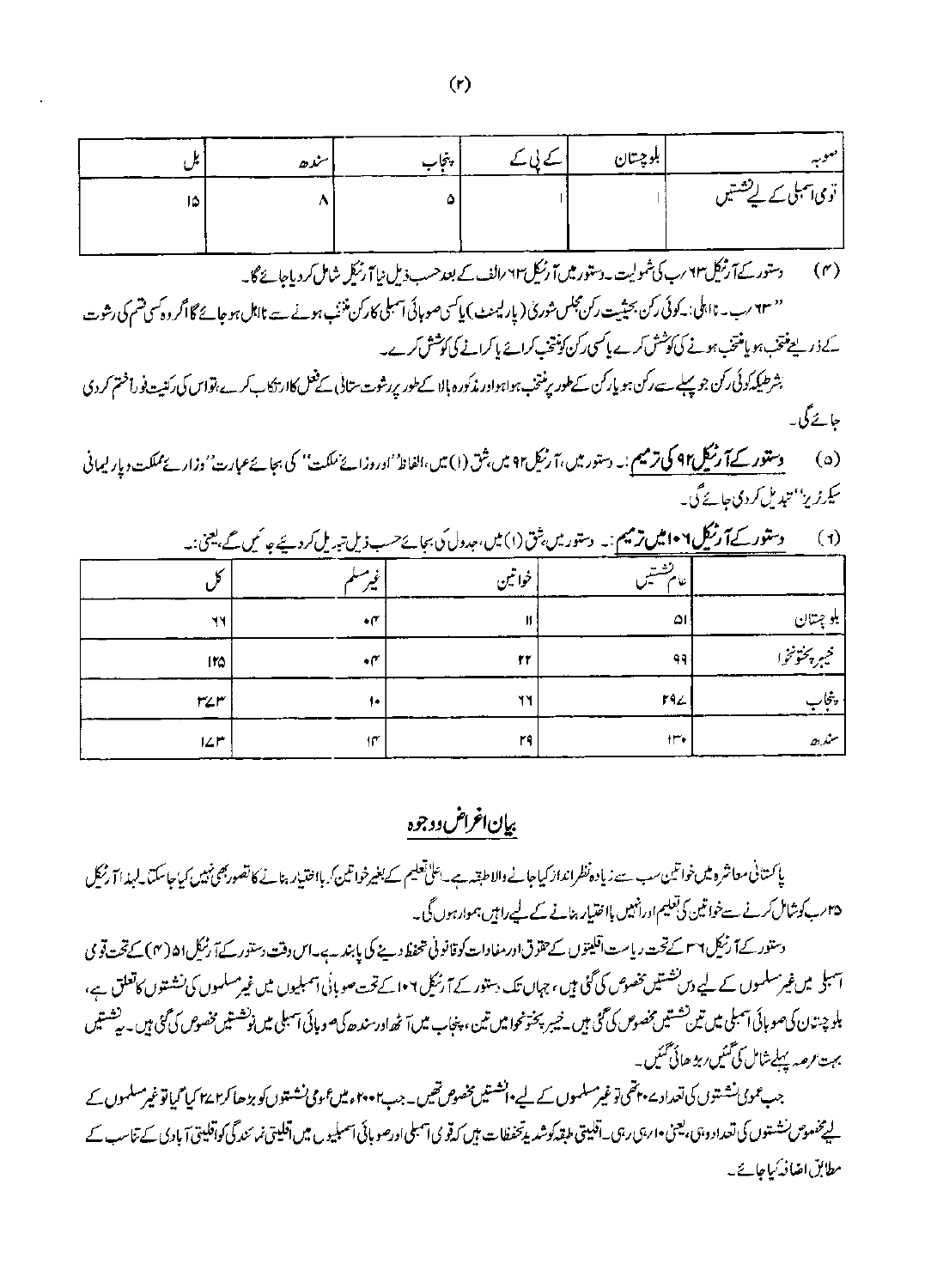| إسنده | پنجاب | ا کے پی کے | بلوچتان |                             |
|-------|-------|------------|---------|-----------------------------|
|       |       |            |         | توی آسبلی <u>سے لی</u> ششیں |
|       |       |            |         |                             |

دستور کے آ رنیک ۲۳ رب کی شمولیت ۔دستور میں آ رنیکل ۲۳ رالف کے بعد حسب ذیل نیا آ رنیکل شامل کر دیاجائے گا۔  $(r)$ 

'' ۲۳ رب۔ نااہلی: کوئی رکن بحیثیت رکن مجلس شوری ( یار لیمنٹ ) پاکسی صوبائی آسبلی کارکن منٹ ہونے سے نااہل ہوجائے گا اگر وہ کسی تھم کی رشوت کے ذیر لیے پتھر ہو ہو ہو پیغتی ہونے کی کوشش کرے پاکسی رکن کونتی کراپے ہا کرانے کی کوشش کرے۔

بشرطيكه كوكن جو پہلے ہے ركن ہو پاركن سے طور برنتخب ہواہواور مذكورہ بالا كے طور پررشوت ستانی کے قتل كاارتكاب كرے،تواس كى ركنيت فوراختم كردى حائے گی۔

دستور کے آ رنیکل۹۲ کی ترمیم :۔ دستور میں، آ رنیکی۹۲ میں بثق (۱) میں،الفاظ' اوروزائے ملکت' کی بجائے عبارت' وزارۓمملکت ویار لیمانی  $(a)$ سکے پڑیز'' تبدیل کردی جائے گی۔

|                                          | $     -$<br>. <del>.</del>  | -- - -  |                             |               |
|------------------------------------------|-----------------------------|---------|-----------------------------|---------------|
|                                          | ۰.                          | 'خواتين |                             |               |
| ٦Y                                       | $\cdot$ r                   | и       | ا۵                          | بلوچیتان      |
| 110                                      | $\cdot$ r                   | ۲۲      | 99                          | فيبر يختونخوا |
| $r$ $\angle r$                           | ١٠                          | Ħ۲      | 192                         | ببنجا         |
| $\mathsf{I} \mathsf{L} \mathsf{I}^\star$ | $\mathfrak{h}^\mathfrak{r}$ | ۲٩      | $\mathsf{H}^\bullet\bullet$ | سندھ          |

دستور کے**آ رنیک ۱۰۶ میں ترمیم :** یہ دستور میں بنق (۱) میں ،حدول کی بجائےحسب ذیل تہ بہ مل کردیئے جا نہیں گے بعینی:پ  $(1)$ 

بيإن اغراض ووجوه

ياكستاني معاشرو ميس خواتين سب سے زيادہ نظرانداز كياجانے والا طبقہ ہے۔ اعلیٰ تعليم كے بغيرخواتين كه بااختيار بنائے كاتصور بھى نہيں كياجاسكتا لے يذا آ رنيكل ۳۵؍ب کوشال کرنے سےخواتین کی تعلیم اورانہیں یااحتیار بنانے کے لیے رامیں ہموارہوں گی۔

دستور کے آ رنیک ۲۶ سے تحت ریاست اقلیتوں سے حقوق اور مفادات کو قانونی متحفظ دینے کی پابند ہے۔اس دفت دستور کے آ رنیک ا۵ (۴) کے تحت قومی اسبل میں غیرسلموں کے لیے دس نشسیں پخصوص کی گئی ہیں، جہاں تک بیتور کے آ رنیل ۱۰۶کے تحت صوبائی اسمبلیوں میں غیرمسلموں کی نشستوں کاتعلق ہے، بلوچن ن کی صوبائی اسبلی میں تین تشتیں بخصوص کی گئی ہیں۔خیبر پختونحوا میں تین، پنجاب میں ارسندھ کی صورت میں گئی ہیں۔پششیں بہت رصہ پہلے شامل کی ممبی ربز ھائی تمبیں۔

جب عمومی نشستوں کی تعدادے پہنچی توغیرمسلموں کے لیے پانشستیں مخصوص تھیں۔جب ہمن موجی نشار کی بڑھا کر ہی کیا توغیرمسلموں کے لیے خصوص نشتوں کی تعداد وہی ، یعن •ارہی رہی۔ آفلیتی طبقہ کوشد پرتخفطات میں کہ تو می اسلی اسمبلیوں میں اقلیتی نمرسندگی کواقلیتی آبادی کے تناسب کے مطابق اضافہ کیاجائے۔